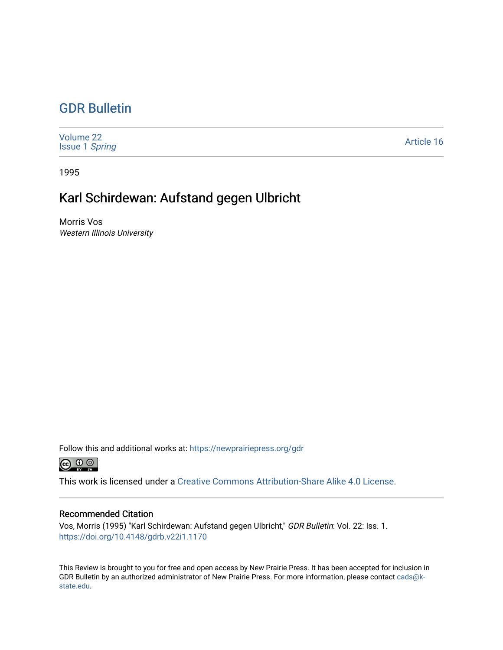## [GDR Bulletin](https://newprairiepress.org/gdr)

| Volume 22<br><b>Issue 1 Spring</b> | Article 16 |
|------------------------------------|------------|
|------------------------------------|------------|

1995

## Karl Schirdewan: Aufstand gegen Ulbricht

Morris Vos Western Illinois University

Follow this and additional works at: [https://newprairiepress.org/gdr](https://newprairiepress.org/gdr?utm_source=newprairiepress.org%2Fgdr%2Fvol22%2Fiss1%2F16&utm_medium=PDF&utm_campaign=PDFCoverPages) 



This work is licensed under a [Creative Commons Attribution-Share Alike 4.0 License.](https://creativecommons.org/licenses/by-sa/4.0/)

## Recommended Citation

Vos, Morris (1995) "Karl Schirdewan: Aufstand gegen Ulbricht," GDR Bulletin: Vol. 22: Iss. 1. <https://doi.org/10.4148/gdrb.v22i1.1170>

This Review is brought to you for free and open access by New Prairie Press. It has been accepted for inclusion in GDR Bulletin by an authorized administrator of New Prairie Press. For more information, please contact [cads@k](mailto:cads@k-state.edu)[state.edu](mailto:cads@k-state.edu).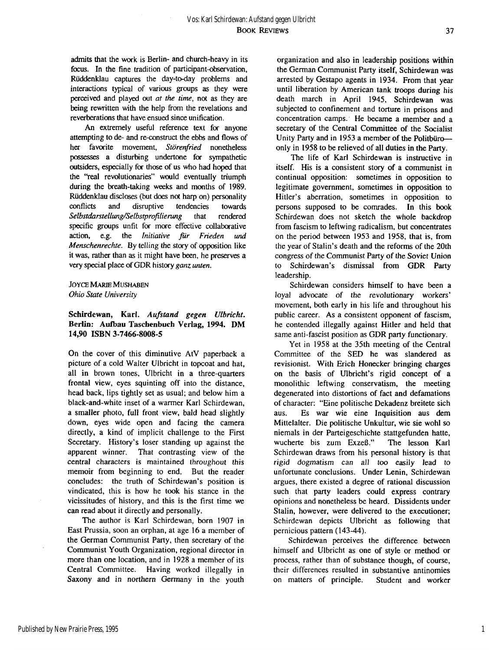admits that the work is Berlin- and church-heavy in its focus. In the fine tradition of participant-observation, Riiddenklau captures the day-to-day problems and interactions typical of various groups as they were perceived and played out *at the time,* not as they are being rewritten with the help from the revelations and reverberations that have ensued since unification.

An extremely useful reference text for anyone attempting to de- and re-construct the ebbs and flows of her favorite movement, *Störenfried* nonetheless possesses a disturbing undertone for sympathetic outsiders, especially for those of us who had hoped that the "real revolutionaries" would eventually triumph during the breath-taking weeks and months of 1989. Rüddenklau discloses (but does not harp on) personality conflicts and disruptive tendencies towards *Selbstdarstellung/Selbstprofilierung* that rendered specific groups unfit for more effective collaborative action, e.g. the *Initiative für Frieden und Menschenrechte.* By telling the story of opposition like it was, rather than as it might have been, he preserves a very special place of GDR history *ganz unten.* 

**JOYCE MARIE MUSHABEN**  *Ohio State University* 

## **Schirdewan, Karl.** *Aufstand gegen Ulbricht.*  Berlin: Aufbau Taschenbuch Verlag, 1994. DM **14,90 ISBN 3-7466-8008-5**

On the cover of this diminutive AtV paperback a picture of a cold Walter Ulbricht in topcoat and hat, all in brown tones, Ulbricht in a three-quarters frontal view, eyes squinting off into the distance, head back, lips tightly set as usual; and below him a black-and-white inset of a warmer Karl Schirdewan, a smaller photo, full front view, bald head slightly down, eyes wide open and facing the camera directly, a kind of implicit challenge to the First Secretary. History's loser standing up against the apparent winner. That contrasting view of the central characters is maintained throughout this memoir from beginning to end. But the reader concludes: the truth of Schirdewan's position is vindicated, this is how he took his stance in the vicissitudes of history, and this is the first time we can read about it directly and personally.

The author is Karl Schirdewan, born 1907 in East Prussia, soon an orphan, at age 16 a member of the German Communist Party, then secretary of the Communist Youth Organization, regional director in more than one location, and in 1928 a member of its Central Committee. Having worked illegally in Saxony and in northern Germany in the youth

organization and also in leadership positions within the German Communist Party itself, Schirdewan was arrested by Gestapo agents in 1934. From that year until liberation by American tank troops during his death march in April 1945, Schirdewan was subjected to confinement and torture in prisons and concentration camps. He became a member and a secretary of the Central Committee of the Socialist Unity Party and in 1953 a member of the Politbüro only in 1958 to be relieved of all duties in the Party.

The life of Karl Schirdewan is instructive in itself. His is a consistent story of a communist in continual opposition: sometimes in opposition to legitimate government, sometimes in opposition to Hitler's aberration, sometimes in opposition to persons supposed to be comrades. In this book Schirdewan does not sketch the whole backdrop from fascism to leftwing radicalism, but concentrates on the period between 1953 and 1958, that is, from the year of Stalin's death and the reforms of the 20th congress of the Communist Party of the Soviet Union to Schirdewan's dismissal from GDR Party leadership.

Schirdewan considers himself to have been a loyal advocate of the revolutionary workers' movement, both early in his life and throughout his public career. As a consistent opponent of fascism, he contended illegally against Hitler and held that same anti-fascist position as GDR party functionary.

Yet in 1958 at the 35th meeting of the Central Committee of the SED he was slandered as revisionist. With Erich Honecker bringing charges on the basis of Ulbricht's rigid concept of a monolithic leftwing conservatism, the meeting degenerated into distortions of fact and defamations of character: "Eine politische Dekadenz breitete sich aus. Es war wie eine Inquisition aus dem Mittelalter. Die politische Unkultur, wie sie wohl so niemals in der Parteigeschichte stattgefunden hatte, wucherte bis zum Exzeß." The lesson Karl Schirdewan draws from his personal history is that rigid dogmatism can all too easily lead to unfortunate conclusions. Under Lenin, Schirdewan argues, there existed a degree of rational discussion such that party leaders could express contrary opinions and nonetheless be heard. Dissidents under Stalin, however, were delivered to the executioner; Schirdewan depicts Ulbricht as following that pernicious pattern (143-44).

Schirdewan perceives the difference between himself and Ulbricht as one of style or method or process, rather than of substance though, of course, their differences resulted in substantive antinomies on matters of principle. Student and worker